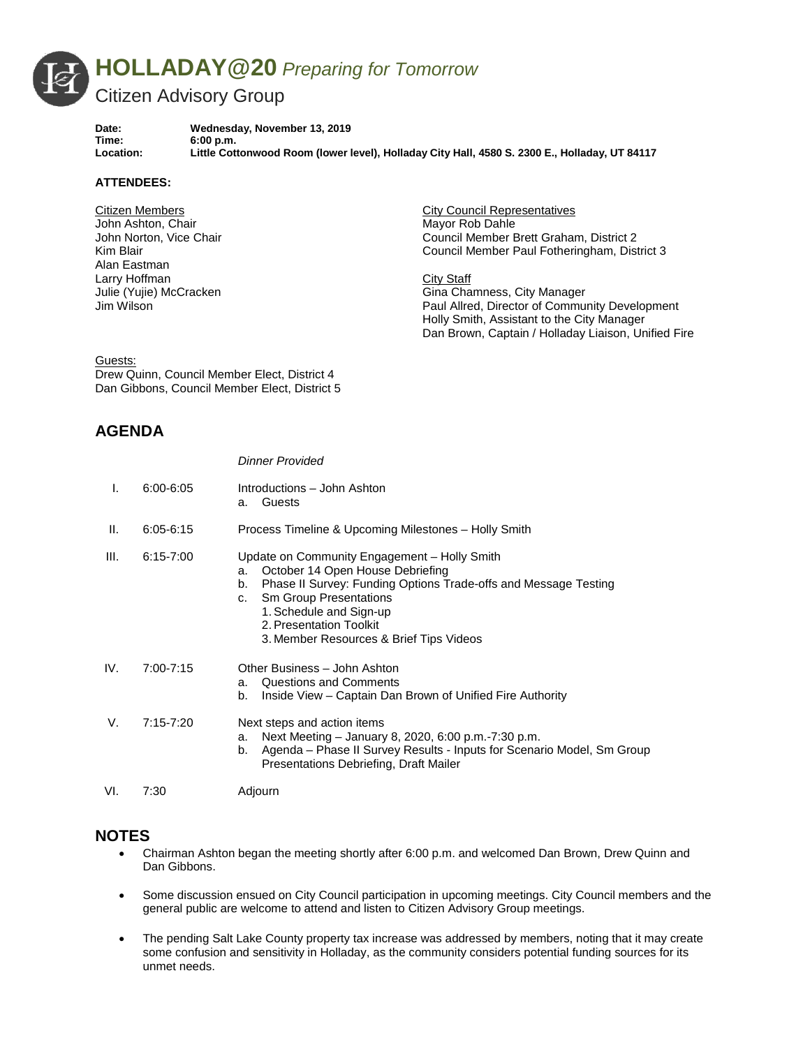

Date: Wednesday, November 13, 2019<br>Time: 6:00 p.m. **Time: 6:00 p.m. Location: Little Cottonwood Room (lower level), Holladay City Hall, 4580 S. 2300 E., Holladay, UT 84117**

## **ATTENDEES:**

Citizen Members John Ashton, Chair John Norton, Vice Chair Kim Blair Alan Eastman Larry Hoffman Julie (Yujie) McCracken Jim Wilson

City Council Representatives Mayor Rob Dahle Council Member Brett Graham, District 2 Council Member Paul Fotheringham, District 3

City Staff Gina Chamness, City Manager Paul Allred, Director of Community Development Holly Smith, Assistant to the City Manager Dan Brown, Captain / Holladay Liaison, Unified Fire

Guests:

Drew Quinn, Council Member Elect, District 4 Dan Gibbons, Council Member Elect, District 5

## **AGENDA**

|      |               | <b>Dinner Provided</b>                                                                                                                                                                                                                                                                                  |
|------|---------------|---------------------------------------------------------------------------------------------------------------------------------------------------------------------------------------------------------------------------------------------------------------------------------------------------------|
| I.   | 6:00-6:05     | Introductions - John Ashton<br>Guests<br>a.                                                                                                                                                                                                                                                             |
| Ш.   | $6:05 - 6:15$ | Process Timeline & Upcoming Milestones – Holly Smith                                                                                                                                                                                                                                                    |
| III. | $6:15 - 7:00$ | Update on Community Engagement - Holly Smith<br>October 14 Open House Debriefing<br>a.<br>Phase II Survey: Funding Options Trade-offs and Message Testing<br>b.<br><b>Sm Group Presentations</b><br>c.<br>1. Schedule and Sign-up<br>2. Presentation Toolkit<br>3. Member Resources & Brief Tips Videos |
| IV.  | $7:00 - 7:15$ | Other Business - John Ashton<br>Questions and Comments<br>a.<br>Inside View - Captain Dan Brown of Unified Fire Authority<br>b.                                                                                                                                                                         |
| V.   | $7:15 - 7:20$ | Next steps and action items<br>Next Meeting – January 8, 2020, 6:00 p.m.-7:30 p.m.<br>a.<br>Agenda – Phase II Survey Results - Inputs for Scenario Model, Sm Group<br>b.<br>Presentations Debriefing, Draft Mailer                                                                                      |
| VI.  | 7:30          | Adjourn                                                                                                                                                                                                                                                                                                 |

## **NOTES**

- Chairman Ashton began the meeting shortly after 6:00 p.m. and welcomed Dan Brown, Drew Quinn and Dan Gibbons.
- Some discussion ensued on City Council participation in upcoming meetings. City Council members and the general public are welcome to attend and listen to Citizen Advisory Group meetings.
- The pending Salt Lake County property tax increase was addressed by members, noting that it may create some confusion and sensitivity in Holladay, as the community considers potential funding sources for its unmet needs.